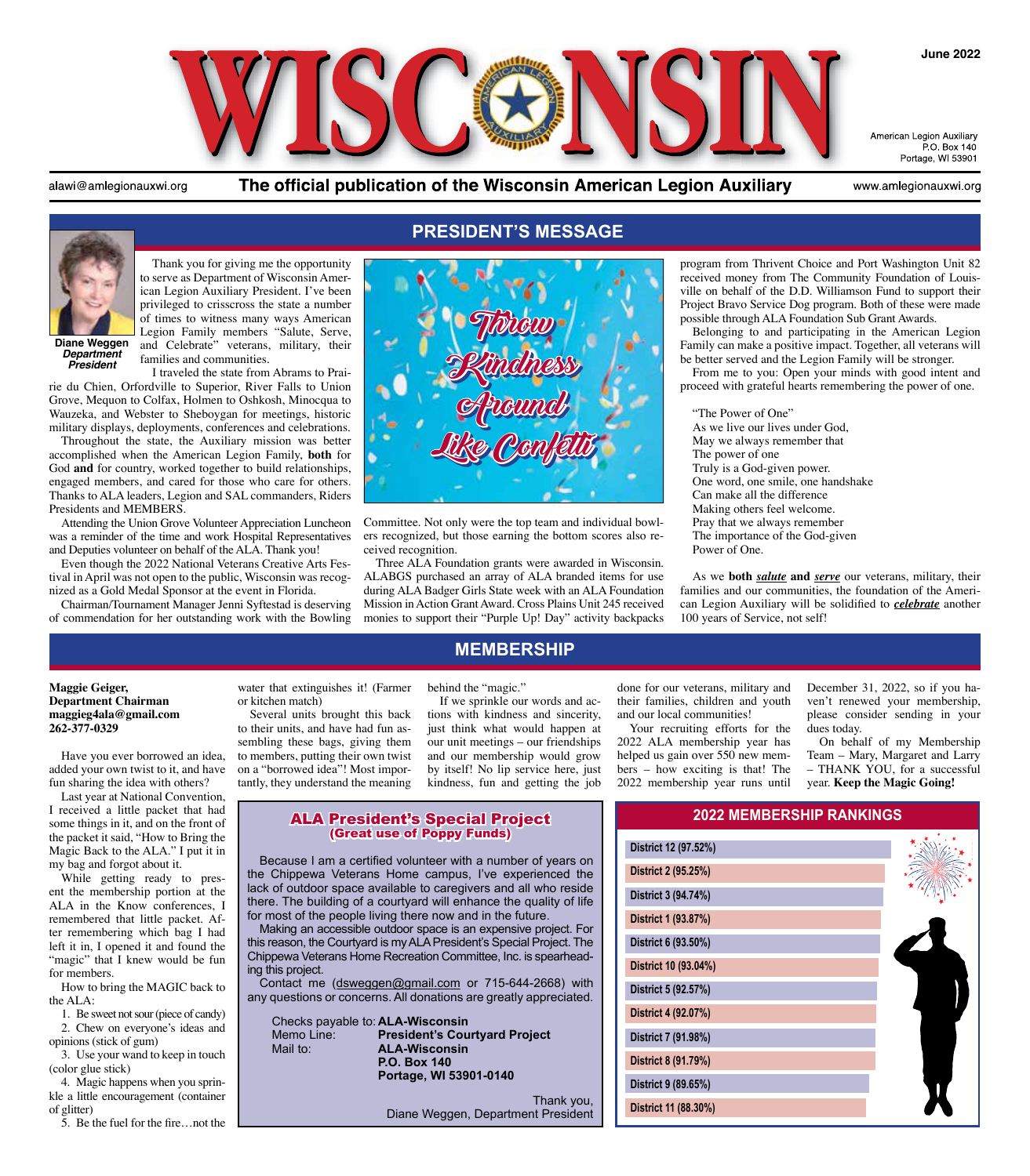

alawi@amlegionauxwi.org

### The official publication of the Wisconsin American Legion Auxiliary

American Legion Auxiliary<br>P.O. Box 140 Portage, WI 53901

**June 2022**

www.amlegionauxwi.org

program from Thrivent Choice and Port Washington Unit 82 received money from The Community Foundation of Louisville on behalf of the D.D. Williamson Fund to support their Project Bravo Service Dog program. Both of these were made possible through ALA Foundation Sub Grant Awards.

Belonging to and participating in the American Legion Family can make a positive impact. Together, all veterans will be better served and the Legion Family will be stronger. From me to you: Open your minds with good intent and proceed with grateful hearts remembering the power of one.

As we **both** *salute* **and** *serve* our veterans, military, their families and our communities, the foundation of the American Legion Auxiliary will be solidified to *celebrate* another



**Diane Weggen** *Department President*

Thank you for giving me the opportunity to serve as Department of Wisconsin American Legion Auxiliary President. I've been privileged to crisscross the state a number of times to witness many ways American Legion Family members "Salute, Serve, and Celebrate" veterans, military, their families and communities.

I traveled the state from Abrams to Prairie du Chien, Orfordville to Superior, River Falls to Union Grove, Mequon to Colfax, Holmen to Oshkosh, Minocqua to Wauzeka, and Webster to Sheboygan for meetings, historic military displays, deployments, conferences and celebrations.

Throughout the state, the Auxiliary mission was better accomplished when the American Legion Family, **both** for God **and** for country, worked together to build relationships, engaged members, and cared for those who care for others. Thanks to ALA leaders, Legion and SAL commanders, Riders Presidents and MEMBERS.

was a reminder of the time and work Hospital Representatives and Deputies volunteer on behalf of the ALA. Thank you!

Even though the 2022 National Veterans Creative Arts Festival in April was not open to the public, Wisconsin was recognized as a Gold Medal Sponsor at the event in Florida.

Chairman/Tournament Manager Jenni Syftestad is deserving of commendation for her outstanding work with the Bowling

### **President's message**



Attending the Union Grove Volunteer Appreciation Luncheon Committee. Not only were the top team and individual bowlers recognized, but those earning the bottom scores also received recognition.

> Three ALA Foundation grants were awarded in Wisconsin. ALABGS purchased an array of ALA branded items for use during ALA Badger Girls State week with an ALA Foundation Mission in Action Grant Award. Cross Plains Unit 245 received monies to support their "Purple Up! Day" activity backpacks

# **Membership**

done for our veterans, military and their families, children and youth and our local communities!

"The Power of One"

The power of one

Power of One.

As we live our lives under God, May we always remember that

Truly is a God-given power. One word, one smile, one handshake Can make all the difference Making others feel welcome. Pray that we always remember The importance of the God-given

100 years of Service, not self!

Your recruiting efforts for the 2022 ALA membership year has helped us gain over 550 new mem-2022 membership year runs until ven't renewed your membership, please consider sending in your dues today.

Team – Mary, Margaret and Larry – THANK YOU, for a successful year. **Keep the Magic Going!**

#### **Maggie Geiger, Department Chairman maggieg4ala@gmail.com 262-377-0329**

Have you ever borrowed an idea, added your own twist to it, and have fun sharing the idea with others?

Last year at National Convention, I received a little packet that had some things in it, and on the front of the packet it said, "How to Bring the Magic Back to the ALA." I put it in my bag and forgot about it.

While getting ready to present the membership portion at the ALA in the Know conferences, I remembered that little packet. After remembering which bag I had left it in, I opened it and found the "magic" that I knew would be fun for members.

How to bring the MAGIC back to the ALA:

1. Be sweet not sour (piece of candy) 2. Chew on everyone's ideas and opinions (stick of gum)

3. Use your wand to keep in touch (color glue stick)

4. Magic happens when you sprinkle a little encouragement (container of glitter)

5. Be the fuel for the fire…not the

water that extinguishes it! (Farmer or kitchen match)

Several units brought this back to their units, and have had fun assembling these bags, giving them to members, putting their own twist on a "borrowed idea"! Most importantly, they understand the meaning

#### behind the "magic."

If we sprinkle our words and actions with kindness and sincerity, just think what would happen at our unit meetings – our friendships and our membership would grow by itself! No lip service here, just kindness, fun and getting the job

# ALA President's Special Project

# (Great use of Poppy Funds)

Because I am a certified volunteer with a number of years on the Chippewa Veterans Home campus, I've experienced the lack of outdoor space available to caregivers and all who reside there. The building of a courtyard will enhance the quality of life for most of the people living there now and in the future.

Making an accessible outdoor space is an expensive project. For this reason, the Courtyard is my ALA President's Special Project. The Chippewa Veterans Home Recreation Committee, Inc. is spearheading this project.

Contact me (dsweggen@gmail.com or 715-644-2668) with any questions or concerns. All donations are greatly appreciated.

|            | Checks payable to: ALA-Wisconsin     |
|------------|--------------------------------------|
| Memo Line: | <b>President's Courtyard Project</b> |
| Mail to:   | <b>ALA-Wisconsin</b>                 |
|            | <b>P.O. Box 140</b>                  |
|            | Portage, WI 53901-0140               |
|            | Thank you,                           |
|            | Diane Weggen, Department President   |



December 31, 2022, so if you ha-

On behalf of my Membership

# bers – how exciting is that! The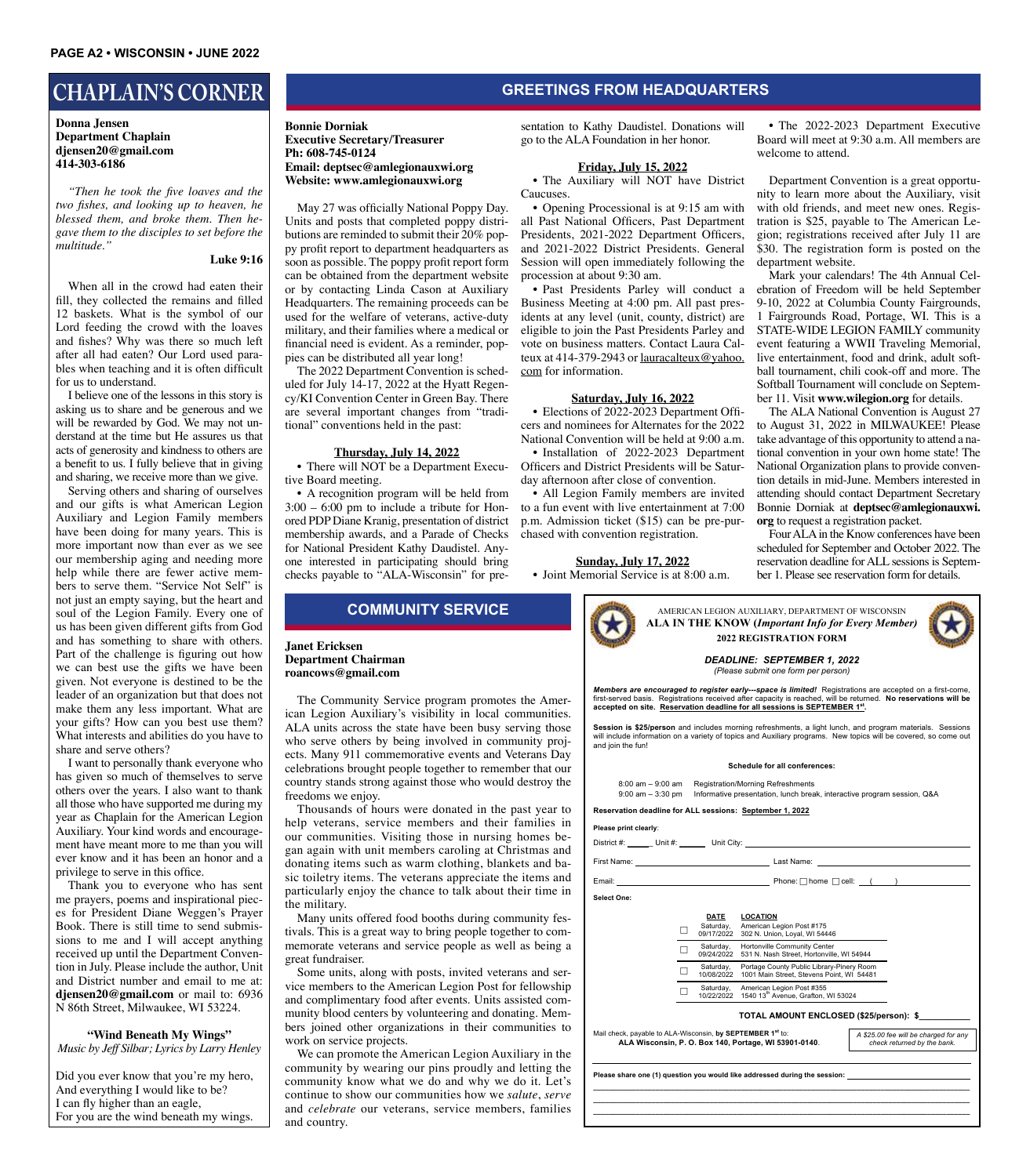# **CHAPLAIN'S CORNER greetings from headquarters**

**Donna Jensen Department Chaplain djensen20@gmail.com 414-303-6186**

*"Then he took the five loaves and the two fishes, and looking up to heaven, he blessed them, and broke them. Then hegave them to the disciples to set before the multitude."*

#### **Luke 9:16**

When all in the crowd had eaten their fill, they collected the remains and filled 12 baskets. What is the symbol of our Lord feeding the crowd with the loaves and fishes? Why was there so much left after all had eaten? Our Lord used parables when teaching and it is often difficult for us to understand.

I believe one of the lessons in this story is asking us to share and be generous and we will be rewarded by God. We may not understand at the time but He assures us that acts of generosity and kindness to others are a benefit to us. I fully believe that in giving and sharing, we receive more than we give.

Serving others and sharing of ourselves and our gifts is what American Legion Auxiliary and Legion Family members have been doing for many years. This is more important now than ever as we see our membership aging and needing more help while there are fewer active members to serve them. "Service Not Self" is not just an empty saying, but the heart and soul of the Legion Family. Every one of us has been given different gifts from God and has something to share with others. Part of the challenge is figuring out how we can best use the gifts we have been given. Not everyone is destined to be the leader of an organization but that does not make them any less important. What are your gifts? How can you best use them? What interests and abilities do you have to share and serve others?

I want to personally thank everyone who has given so much of themselves to serve others over the years. I also want to thank all those who have supported me during my year as Chaplain for the American Legion Auxiliary. Your kind words and encouragement have meant more to me than you will ever know and it has been an honor and a privilege to serve in this office.

Thank you to everyone who has sent me prayers, poems and inspirational pieces for President Diane Weggen's Prayer Book. There is still time to send submissions to me and I will accept anything received up until the Department Convention in July. Please include the author, Unit and District number and email to me at: **djensen20@gmail.com** or mail to: 6936 N 86th Street, Milwaukee, WI 53224.

**"Wind Beneath My Wings"** *Music by Jeff Silbar; Lyrics by Larry Henley*

Did you ever know that you're my hero, And everything I would like to be? I can fly higher than an eagle, For you are the wind beneath my wings.

#### **Bonnie Dorniak Executive Secretary/Treasurer Ph: 608-745-0124 Email: deptsec@amlegionauxwi.org Website: www.amlegionauxwi.org**

May 27 was officially National Poppy Day. Units and posts that completed poppy distributions are reminded to submit their 20% poppy profit report to department headquarters as soon as possible. The poppy profit report form can be obtained from the department website or by contacting Linda Cason at Auxiliary Headquarters. The remaining proceeds can be used for the welfare of veterans, active-duty military, and their families where a medical or financial need is evident. As a reminder, poppies can be distributed all year long!

The 2022 Department Convention is scheduled for July 14-17, 2022 at the Hyatt Regency/KI Convention Center in Green Bay. There are several important changes from "traditional" conventions held in the past:

#### **Thursday, July 14, 2022**

• There will NOT be a Department Executive Board meeting.

• A recognition program will be held from  $3:00 - 6:00$  pm to include a tribute for Honored PDP Diane Kranig, presentation of district membership awards, and a Parade of Checks for National President Kathy Daudistel. Anyone interested in participating should bring checks payable to "ALA-Wisconsin" for pre-

#### **Janet Ericksen Department Chairman roancows@gmail.com**

The Community Service program promotes the American Legion Auxiliary's visibility in local communities. ALA units across the state have been busy serving those who serve others by being involved in community projects. Many 911 commemorative events and Veterans Day celebrations brought people together to remember that our country stands strong against those who would destroy the freedoms we enjoy.

Thousands of hours were donated in the past year to help veterans, service members and their families in our communities. Visiting those in nursing homes began again with unit members caroling at Christmas and donating items such as warm clothing, blankets and basic toiletry items. The veterans appreciate the items and particularly enjoy the chance to talk about their time in the military.

Many units offered food booths during community festivals. This is a great way to bring people together to commemorate veterans and service people as well as being a great fundraiser.

Some units, along with posts, invited veterans and service members to the American Legion Post for fellowship and complimentary food after events. Units assisted community blood centers by volunteering and donating. Members joined other organizations in their communities to work on service projects.

We can promote the American Legion Auxiliary in the community by wearing our pins proudly and letting the community know what we do and why we do it. Let's continue to show our communities how we *salute*, *serve* and *celebrate* our veterans, service members, families and country.

sentation to Kathy Daudistel. Donations will go to the ALA Foundation in her honor.

#### **Friday, July 15, 2022**

• The Auxiliary will NOT have District Caucuses.

• Opening Processional is at 9:15 am with all Past National Officers, Past Department Presidents, 2021-2022 Department Officers, and 2021-2022 District Presidents. General Session will open immediately following the procession at about 9:30 am.

• Past Presidents Parley will conduct a Business Meeting at 4:00 pm. All past presidents at any level (unit, county, district) are eligible to join the Past Presidents Parley and vote on business matters. Contact Laura Calteux at 414-379-2943 or lauracalteux  $@$  vahoo. com for information.

#### **Saturday, July 16, 2022**

• Elections of 2022-2023 Department Officers and nominees for Alternates for the 2022 National Convention will be held at 9:00 a.m.

• Installation of 2022-2023 Department Officers and District Presidents will be Saturday afternoon after close of convention.

• All Legion Family members are invited to a fun event with live entertainment at 7:00 p.m. Admission ticket (\$15) can be pre-purchased with convention registration.

### **Sunday, July 17, 2022**

• Joint Memorial Service is at 8:00 a.m.

• The 2022-2023 Department Executive Board will meet at 9:30 a.m. All members are welcome to attend.

Department Convention is a great opportunity to learn more about the Auxiliary, visit with old friends, and meet new ones. Registration is \$25, payable to The American Legion; registrations received after July 11 are \$30. The registration form is posted on the department website.

Mark your calendars! The 4th Annual Celebration of Freedom will be held September 9-10, 2022 at Columbia County Fairgrounds, 1 Fairgrounds Road, Portage, WI. This is a STATE-WIDE LEGION FAMILY community event featuring a WWII Traveling Memorial, live entertainment, food and drink, adult softball tournament, chili cook-off and more. The Softball Tournament will conclude on September 11. Visit **www.wilegion.org** for details.

The ALA National Convention is August 27 to August 31, 2022 in MILWAUKEE! Please take advantage of this opportunity to attend a national convention in your own home state! The National Organization plans to provide convention details in mid-June. Members interested in attending should contact Department Secretary Bonnie Dorniak at **deptsec@amlegionauxwi. org** to request a registration packet.

Four ALA in the Know conferences have been scheduled for September and October 2022. The reservation deadline for ALL sessions is September 1. Please see reservation form for details.



**COMMUNITY SERVICE** AMERICAN LEGION AUXILIARY, DEPARTMENT OF WISCONSIN **ALA IN THE KNOW (***Important Info for Every Member)* **2022 REGISTRATION FORM**



*DEADLINE: SEPTEMBER 1, 2022 (Please submit one form per person)* 

Members are encouraged to register early---space is limited! Registrations are accepted on a first-co first-served basis. Registrations received after capacity is reached, will be returned. **No reservations will be accepted on site. Reservation deadline for all sessions is SEPTEMBER 1st.** 

**Session is \$25/person** and includes morning refreshments, a light lunch, and program materials. Sessions<br>will include information on a variety of topics and Auxiliary programs. New topics will be covered, so come out<br>an

#### **Schedule for all conferences:**

- 8:00 am 9:00 am Registration/Morning Refreshments 9:00 am – 3:30 pm Informative presentation, lunch break, interactive program session, Q&A
- **Reservation deadline for ALL sessions: September 1, 2022**

**Please print clearly**:

|                                                                        |      | First Name: Contract Contract Contract Contract Contract Contract Contract Contract Contract Contract Contract Contract Contract Contract Contract Contract Contract Contract Contract Contract Contract Contract Contract Con<br>Email: $\Box$ Phone: $\Box$ home $\Box$ cell: $\Box$ () |
|------------------------------------------------------------------------|------|-------------------------------------------------------------------------------------------------------------------------------------------------------------------------------------------------------------------------------------------------------------------------------------------|
| Select One:                                                            |      |                                                                                                                                                                                                                                                                                           |
|                                                                        | DATE | <b>LOCATION</b><br>Saturday, American Legion Post #175                                                                                                                                                                                                                                    |
|                                                                        |      | 09/17/2022 302 N. Union, Loyal, WI 54446                                                                                                                                                                                                                                                  |
|                                                                        |      | Saturday, Hortonville Community Center<br>09/24/2022 531 N. Nash Street, Hortonville, WI 54944                                                                                                                                                                                            |
|                                                                        |      | Saturday, Portage County Public Library-Pinery Room<br>10/08/2022 1001 Main Street, Stevens Point, WI 54481                                                                                                                                                                               |
|                                                                        |      | Saturday, American Legion Post #355<br>10/22/2022 1540 13th Avenue, Grafton, WI 53024                                                                                                                                                                                                     |
|                                                                        |      | TOTAL AMOUNT ENCLOSED (\$25/person): \$                                                                                                                                                                                                                                                   |
| Mail check, payable to ALA-Wisconsin, by SEPTEMBER 1 <sup>st</sup> to: |      | A \$25.00 fee will be charged for any<br>ALA Wisconsin, P. O. Box 140, Portage, WI 53901-0140.<br>check returned by the bank.                                                                                                                                                             |
|                                                                        |      |                                                                                                                                                                                                                                                                                           |
|                                                                        |      | Please share one (1) question you would like addressed during the session:                                                                                                                                                                                                                |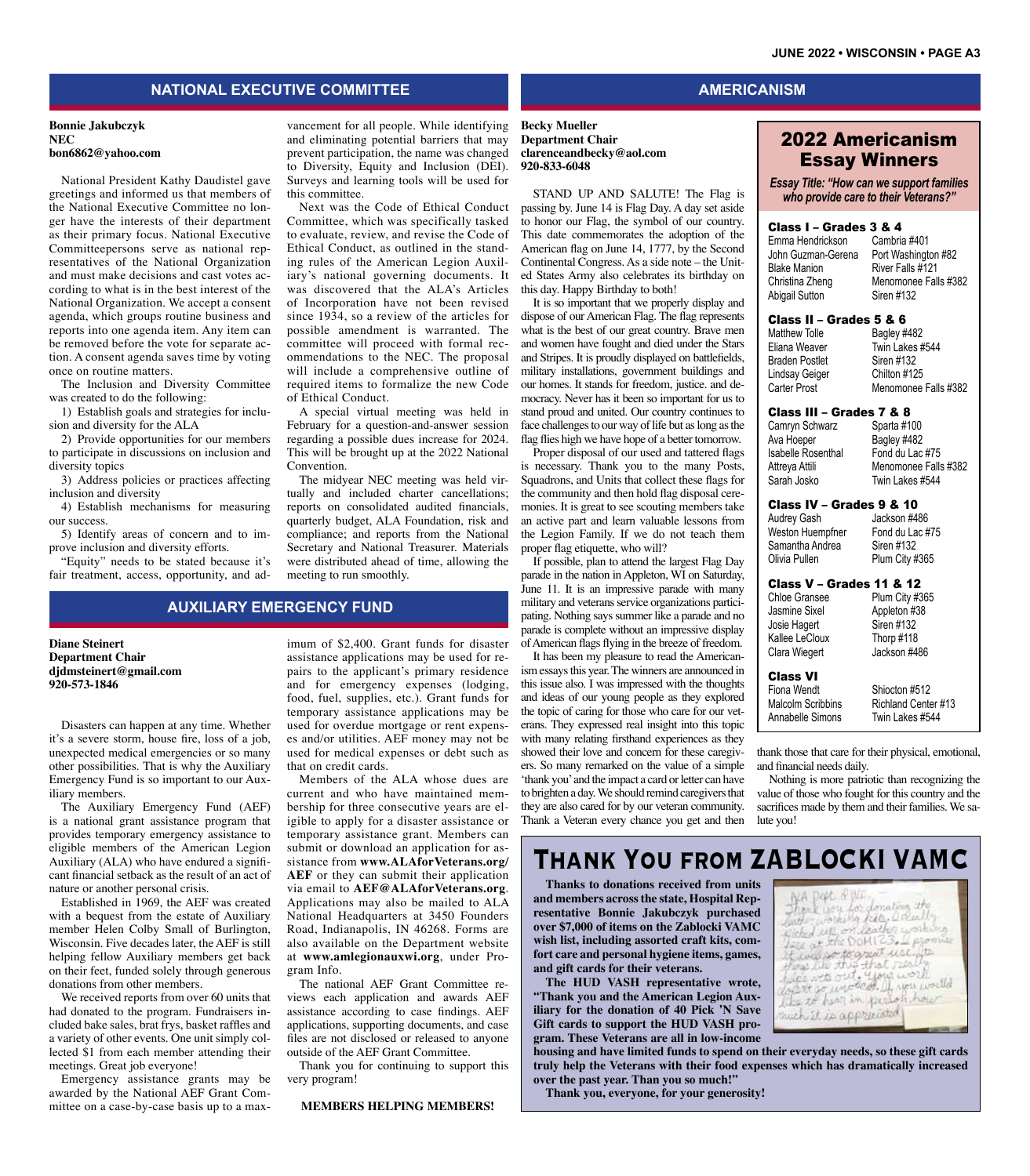### **national executive committee**

#### **Bonnie Jakubczyk NEC bon6862@yahoo.com**

National President Kathy Daudistel gave greetings and informed us that members of the National Executive Committee no longer have the interests of their department as their primary focus. National Executive Committeepersons serve as national representatives of the National Organization and must make decisions and cast votes according to what is in the best interest of the National Organization. We accept a consent agenda, which groups routine business and reports into one agenda item. Any item can be removed before the vote for separate action. A consent agenda saves time by voting once on routine matters.

The Inclusion and Diversity Committee was created to do the following:

1) Establish goals and strategies for inclusion and diversity for the ALA

2) Provide opportunities for our members to participate in discussions on inclusion and

diversity topics 3) Address policies or practices affecting

inclusion and diversity 4) Establish mechanisms for measuring

our success. 5) Identify areas of concern and to im-

prove inclusion and diversity efforts. "Equity" needs to be stated because it's

fair treatment, access, opportunity, and ad-

vancement for all people. While identifying and eliminating potential barriers that may prevent participation, the name was changed to Diversity, Equity and Inclusion (DEI). Surveys and learning tools will be used for this committee.

Next was the Code of Ethical Conduct Committee, which was specifically tasked to evaluate, review, and revise the Code of Ethical Conduct, as outlined in the standing rules of the American Legion Auxiliary's national governing documents. It was discovered that the ALA's Articles of Incorporation have not been revised since 1934, so a review of the articles for possible amendment is warranted. The committee will proceed with formal recommendations to the NEC. The proposal will include a comprehensive outline of required items to formalize the new Code of Ethical Conduct.

A special virtual meeting was held in February for a question-and-answer session regarding a possible dues increase for 2024. This will be brought up at the 2022 National Convention.

The midyear NEC meeting was held virtually and included charter cancellations; reports on consolidated audited financials, quarterly budget, ALA Foundation, risk and compliance; and reports from the National Secretary and National Treasurer. Materials were distributed ahead of time, allowing the meeting to run smoothly.

### **americanism**

**Becky Mueller Department Chair clarenceandbecky@aol.com 920-833-6048**

STAND UP AND SALUTE! The Flag is passing by. June 14 is Flag Day. A day set aside to honor our Flag, the symbol of our country. This date commemorates the adoption of the American flag on June 14, 1777, by the Second Continental Congress. As a side note – the United States Army also celebrates its birthday on this day. Happy Birthday to both!

It is so important that we properly display and dispose of our American Flag. The flag represents what is the best of our great country. Brave men and women have fought and died under the Stars and Stripes. It is proudly displayed on battlefields, military installations, government buildings and our homes. It stands for freedom, justice. and democracy. Never has it been so important for us to stand proud and united. Our country continues to face challenges to our way of life but as long as the flag flies high we have hope of a better tomorrow.

Proper disposal of our used and tattered flags is necessary. Thank you to the many Posts, Squadrons, and Units that collect these flags for the community and then hold flag disposal ceremonies. It is great to see scouting members take an active part and learn valuable lessons from the Legion Family. If we do not teach them proper flag etiquette, who will?

If possible, plan to attend the largest Flag Day parade in the nation in Appleton, WI on Saturday, June 11. It is an impressive parade with many military and veterans service organizations participating. Nothing says summer like a parade and no parade is complete without an impressive display of American flags flying in the breeze of freedom.

It has been my pleasure to read the Americanism essays this year. The winners are announced in this issue also. I was impressed with the thoughts and ideas of our young people as they explored the topic of caring for those who care for our veterans. They expressed real insight into this topic with many relating firsthand experiences as they showed their love and concern for these caregivers. So many remarked on the value of a simple 'thank you' and the impact a card or letter can have to brighten a day. We should remind caregivers that they are also cared for by our veteran community. Thank a Veteran every chance you get and then

| <b>2022 Americanism</b> |
|-------------------------|
| <b>Essay Winners</b>    |

*Essay Title: "How can we support families who provide care to their Veterans?"*

| Class I – Grades 3 & 4 |
|------------------------|
| Cambria #401           |
| Port Washington #82    |
| River Falls #121       |
| Menomonee Falls #382   |
| Siren #132             |
|                        |

#### Class II – Grades 5 & 6

| <b>Matthew Tolle</b>  | Bagley #482          |
|-----------------------|----------------------|
| Eliana Weaver         | Twin Lakes #544      |
| <b>Braden Postlet</b> | Siren #132           |
| <b>Lindsay Geiger</b> | Chilton #125         |
| <b>Carter Prost</b>   | Menomonee Falls #382 |

#### Class III – Grades 7 & 8

| Sparta #100          |
|----------------------|
| Bagley #482          |
| Fond du Lac #75      |
| Menomonee Falls #382 |
| Twin Lakes #544      |
|                      |

|                              | Class IV – Grades 9 & 10 |
|------------------------------|--------------------------|
| $\lambda$ udrov $\Omega$ oob | $I = I = 400$            |

| Audrey Gash              | Jackson #486    |
|--------------------------|-----------------|
| Weston Huempfner         | Fond du Lac #75 |
| Samantha Andrea          | Siren #132      |
| Olivia Pullen            | Plum City #365  |
| Class V – Grades 11 & 12 |                 |
| Chloe Gransee            | Plum City #365  |
| Jasmine Sixel            | Appleton #38    |
| Josie Hagert             | Siren #132      |
| Kallee LeCloux           | Thorp #118      |
| Clara Wiegert            | Jackson #486    |
|                          |                 |

**Class VI**<br>Fiona Wendt Shiocton #512 Malcolm Scribbins Richland Center #13<br>Annabelle Simons Twin Lakes #544 Annabelle Simons

thank those that care for their physical, emotional, and financial needs daily.

Nothing is more patriotic than recognizing the value of those who fought for this country and the sacrifices made by them and their families. We salute you!

# **Thank You from ZABLOCKI VAMC**

**Thanks to donations received from units and members across the state, Hospital Representative Bonnie Jakubczyk purchased over \$7,000 of items on the Zablocki VAMC wish list, including assorted craft kits, comfort care and personal hygiene items, games, and gift cards for their veterans.** 

**The HUD VASH representative wrote,**  "**Thank you and the American Legion Auxiliary for the donation of 40 Pick** '**N Save Gift cards to support the HUD VASH program. These Veterans are all in low-income** 

**housing and have limited funds to spend on their everyday needs, so these gift cards truly help the Veterans with their food expenses which has dramatically increased over the past year. Than you so much!**"

**Thank you, everyone, for your generosity!**



**djdmsteinert@gmail.com 920-573-1846** Disasters can happen at any time. Whether

**Diane Steinert Department Chair**

it's a severe storm, house fire, loss of a job, unexpected medical emergencies or so many other possibilities. That is why the Auxiliary Emergency Fund is so important to our Auxiliary members.

The Auxiliary Emergency Fund (AEF) is a national grant assistance program that provides temporary emergency assistance to eligible members of the American Legion Auxiliary (ALA) who have endured a significant financial setback as the result of an act of nature or another personal crisis.

Established in 1969, the AEF was created with a bequest from the estate of Auxiliary member Helen Colby Small of Burlington, Wisconsin. Five decades later, the AEF is still helping fellow Auxiliary members get back on their feet, funded solely through generous donations from other members.

We received reports from over 60 units that had donated to the program. Fundraisers included bake sales, brat frys, basket raffles and a variety of other events. One unit simply collected \$1 from each member attending their meetings. Great job everyone!

Emergency assistance grants may be awarded by the National AEF Grant Committee on a case-by-case basis up to a max-

imum of \$2,400. Grant funds for disaster assistance applications may be used for repairs to the applicant's primary residence and for emergency expenses (lodging, food, fuel, supplies, etc.). Grant funds for temporary assistance applications may be used for overdue mortgage or rent expenses and/or utilities. AEF money may not be used for medical expenses or debt such as that on credit cards.

Members of the ALA whose dues are current and who have maintained membership for three consecutive years are eligible to apply for a disaster assistance or temporary assistance grant. Members can submit or download an application for assistance from **www.ALAforVeterans.org/ AEF** or they can submit their application via email to **AEF@ALAforVeterans.org**. Applications may also be mailed to ALA National Headquarters at 3450 Founders Road, Indianapolis, IN 46268. Forms are also available on the Department website at **www.amlegionauxwi.org**, under Program Info.

The national AEF Grant Committee reviews each application and awards AEF assistance according to case findings. AEF applications, supporting documents, and case files are not disclosed or released to anyone outside of the AEF Grant Committee.

Thank you for continuing to support this very program!

#### **MEMBERS HELPING MEMBERS!**

**auxiliary emergency fund**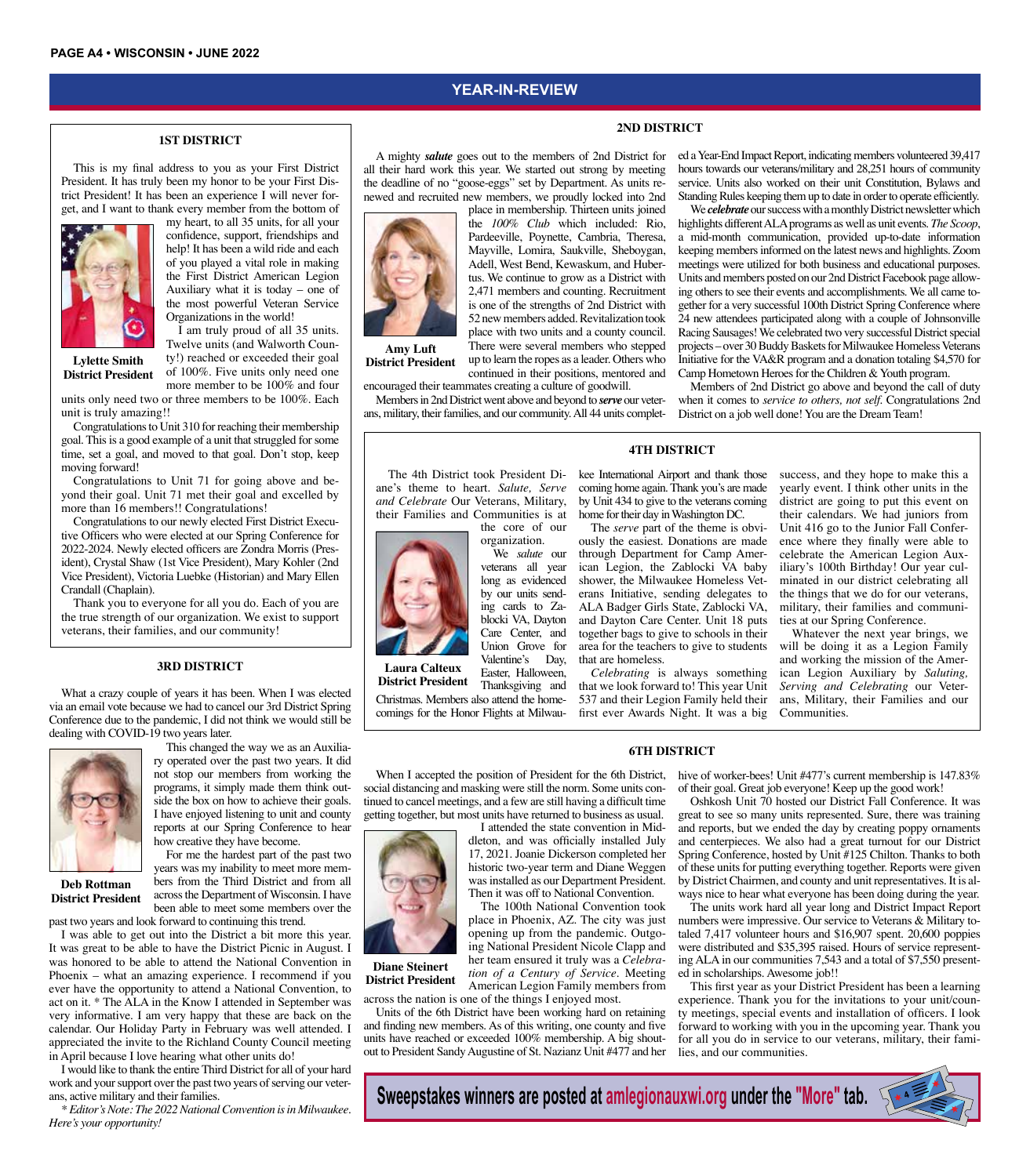## **year-in-review**

#### **2ND DISTRICT**

#### **1ST DISTRICT**

This is my final address to you as your First District President. It has truly been my honor to be your First District President! It has been an experience I will never forget, and I want to thank every member from the bottom of



my heart, to all 35 units, for all your confidence, support, friendships and help! It has been a wild ride and each of you played a vital role in making the First District American Legion Auxiliary what it is today – one of the most powerful Veteran Service Organizations in the world! I am truly proud of all 35 units.

Twelve units (and Walworth Coun-

**Lylette Smith District President**

ty!) reached or exceeded their goal of 100%. Five units only need one more member to be 100% and four

units only need two or three members to be 100%. Each unit is truly amazing!!

Congratulations to Unit 310 for reaching their membership goal. This is a good example of a unit that struggled for some time, set a goal, and moved to that goal. Don't stop, keep moving forward!

Congratulations to Unit 71 for going above and beyond their goal. Unit 71 met their goal and excelled by more than 16 members!! Congratulations!

Congratulations to our newly elected First District Executive Officers who were elected at our Spring Conference for 2022-2024. Newly elected officers are Zondra Morris (President), Crystal Shaw (1st Vice President), Mary Kohler (2nd Vice President), Victoria Luebke (Historian) and Mary Ellen Crandall (Chaplain).

Thank you to everyone for all you do. Each of you are the true strength of our organization. We exist to support veterans, their families, and our community!

#### **3RD DISTRICT**

What a crazy couple of years it has been. When I was elected via an email vote because we had to cancel our 3rd District Spring Conference due to the pandemic, I did not think we would still be dealing with COVID-19 two years later.



This changed the way we as an Auxiliary operated over the past two years. It did not stop our members from working the programs, it simply made them think outside the box on how to achieve their goals. I have enjoyed listening to unit and county reports at our Spring Conference to hear how creative they have become.

**Deb Rottman District President** For me the hardest part of the past two years was my inability to meet more members from the Third District and from all across the Department of Wisconsin. I have been able to meet some members over the past two years and look forward to continuing this trend.

I was able to get out into the District a bit more this year. It was great to be able to have the District Picnic in August. I was honored to be able to attend the National Convention in Phoenix – what an amazing experience. I recommend if you ever have the opportunity to attend a National Convention, to act on it. \* The ALA in the Know I attended in September was very informative. I am very happy that these are back on the calendar. Our Holiday Party in February was well attended. I appreciated the invite to the Richland County Council meeting in April because I love hearing what other units do!

I would like to thank the entire Third District for all of your hard work and your support over the past two years of serving our veterans, active military and their families.

*\* Editor's Note: The 2022 National Convention is in Milwaukee. Here's your opportunity!*

A mighty *salute* goes out to the members of 2nd District for all their hard work this year. We started out strong by meeting the deadline of no "goose-eggs" set by Department. As units renewed and recruited new members, we proudly locked into 2nd

place in membership. Thirteen units joined the *100% Club* which included: Rio, Pardeeville, Poynette, Cambria, Theresa, Mayville, Lomira, Saukville, Sheboygan, Adell, West Bend, Kewaskum, and Hubertus. We continue to grow as a District with 2,471 members and counting. Recruitment is one of the strengths of 2nd District with 52 new members added. Revitalization took place with two units and a county council. There were several members who stepped

up to learn the ropes as a leader. Others who

**Amy Luft District President**

continued in their positions, mentored and encouraged their teammates creating a culture of goodwill. Members in 2nd District went above and beyond to *serve* our veter-

ans, military, their families, and our community. All 44 units complet-

kee International Airport and thank those coming home again. Thank you's are made by Unit 434 to give to the veterans coming home for their day in Washington DC.

The *serve* part of the theme is obviously the easiest. Donations are made through Department for Camp American Legion, the Zablocki VA baby shower, the Milwaukee Homeless Veterans Initiative, sending delegates to ALA Badger Girls State, Zablocki VA, and Dayton Care Center. Unit 18 puts together bags to give to schools in their area for the teachers to give to students that are homeless.

*Celebrating* is always something that we look forward to! This year Unit 537 and their Legion Family held their first ever Awards Night. It was a big

**6TH DISTRICT**

ed a Year-End Impact Report, indicating members volunteered 39,417 hours towards our veterans/military and 28,251 hours of community service. Units also worked on their unit Constitution, Bylaws and Standing Rules keeping them up to date in order to operate efficiently.

We *celebrate* our success with a monthly District newsletter which highlights different ALA programs as well as unit events. *The Scoop*, a mid-month communication, provided up-to-date information keeping members informed on the latest news and highlights. Zoom meetings were utilized for both business and educational purposes. Units and members posted on our 2nd District Facebook page allowing others to see their events and accomplishments. We all came together for a very successful 100th District Spring Conference where 24 new attendees participated along with a couple of Johnsonville Racing Sausages! We celebrated two very successful District special projects – over 30 Buddy Baskets for Milwaukee Homeless Veterans Initiative for the VA&R program and a donation totaling \$4,570 for Camp Hometown Heroes for the Children & Youth program.

Members of 2nd District go above and beyond the call of duty when it comes to *service to others, not self*. Congratulations 2nd District on a job well done! You are the Dream Team!

### **4TH DISTRICT**

success, and they hope to make this a yearly event. I think other units in the district are going to put this event on their calendars. We had juniors from Unit 416 go to the Junior Fall Conference where they finally were able to celebrate the American Legion Auxiliary's 100th Birthday! Our year culminated in our district celebrating all the things that we do for our veterans, military, their families and communities at our Spring Conference.

Whatever the next year brings, we will be doing it as a Legion Family and working the mission of the American Legion Auxiliary by *Saluting, Serving and Celebrating* our Veterans, Military, their Families and our Communities.



**Laura Calteux District President**

Christmas. Members also attend the homecomings for the Honor Flights at Milwau-



**District President**

#### social distancing and masking were still the norm. Some units continued to cancel meetings, and a few are still having a difficult time

I attended the state convention in Middleton, and was officially installed July 17, 2021. Joanie Dickerson completed her historic two-year term and Diane Weggen was installed as our Department President. Then it was off to National Convention.

The 100th National Convention took place in Phoenix, AZ. The city was just opening up from the pandemic. Outgoing National President Nicole Clapp and her team ensured it truly was a *Celebration of a Century of Service*. Meeting

American Legion Family members from across the nation is one of the things I enjoyed most. Units of the 6th District have been working hard on retaining

and finding new members. As of this writing, one county and five units have reached or exceeded 100% membership. A big shoutout to President Sandy Augustine of St. Nazianz Unit #477 and her lies, and our communities.

hive of worker-bees! Unit #477's current membership is 147.83% of their goal. Great job everyone! Keep up the good work!

Oshkosh Unit 70 hosted our District Fall Conference. It was great to see so many units represented. Sure, there was training and reports, but we ended the day by creating poppy ornaments and centerpieces. We also had a great turnout for our District Spring Conference, hosted by Unit #125 Chilton. Thanks to both of these units for putting everything together. Reports were given by District Chairmen, and county and unit representatives. It is always nice to hear what everyone has been doing during the year.

The units work hard all year long and District Impact Report numbers were impressive. Our service to Veterans & Military totaled 7,417 volunteer hours and \$16,907 spent. 20,600 poppies were distributed and \$35,395 raised. Hours of service representing ALA in our communities 7,543 and a total of \$7,550 presented in scholarships. Awesome job!!

This first year as your District President has been a learning experience. Thank you for the invitations to your unit/county meetings, special events and installation of officers. I look forward to working with you in the upcoming year. Thank you for all you do in service to our veterans, military, their fami-



the core of our organization. We *salute* our

by our units sending cards to Zablocki VA, Dayton Care Center, and Union Grove for Valentine's Day, Easter, Halloween, Thanksgiving and

When I accepted the position of President for the 6th District,

veterans all year long as evidenced

The 4th District took President Diane's theme to heart. *Salute, Serve and Celebrate* Our Veterans, Military, their Families and Communities is at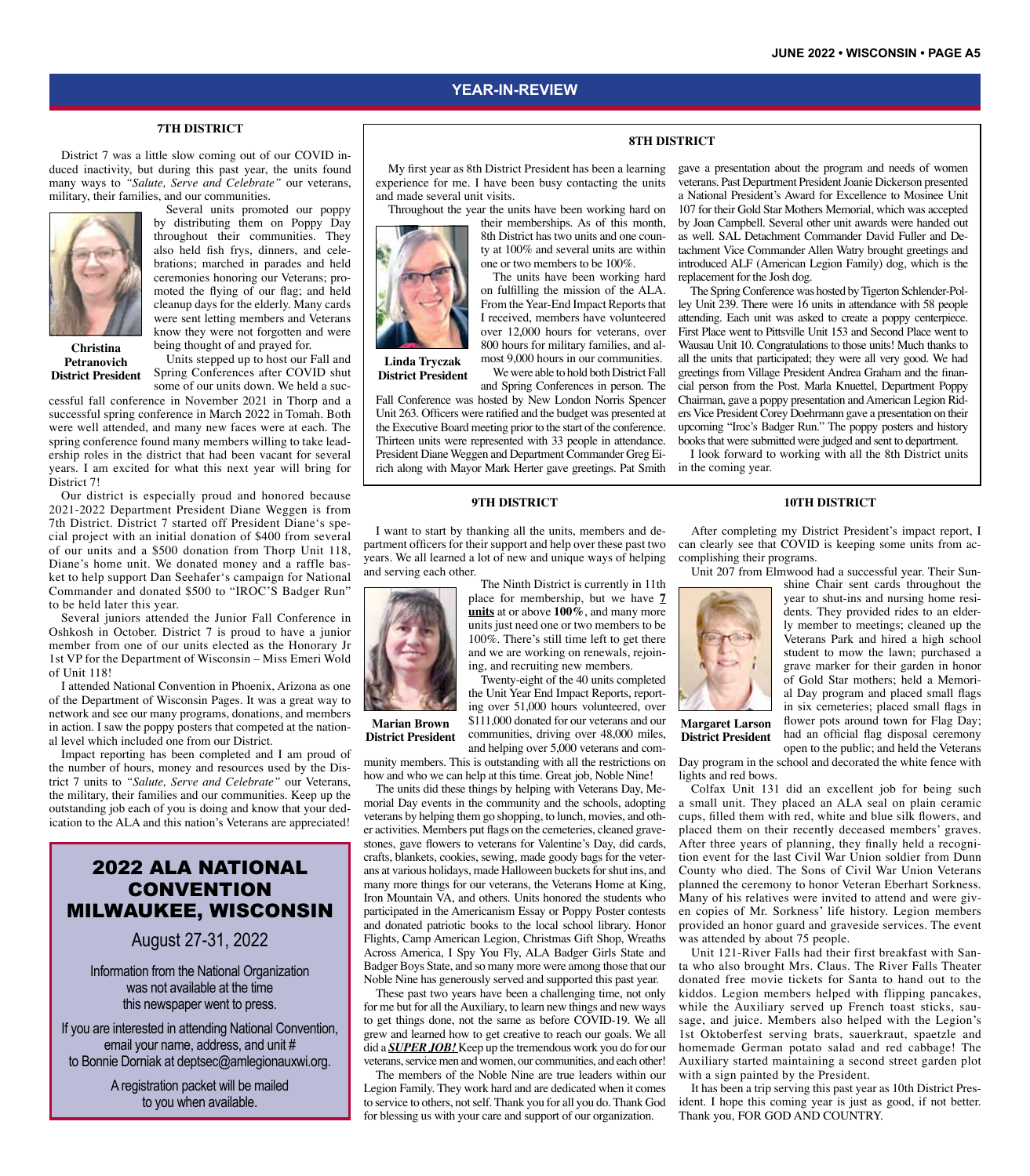### **year-in-review**

#### **7TH DISTRICT**

District 7 was a little slow coming out of our COVID induced inactivity, but during this past year, the units found many ways to *"Salute, Serve and Celebrate"* our veterans, military, their families, and our communities.



Several units promoted our poppy by distributing them on Poppy Day throughout their communities. They also held fish frys, dinners, and celebrations; marched in parades and held ceremonies honoring our Veterans; promoted the flying of our flag; and held cleanup days for the elderly. Many cards were sent letting members and Veterans know they were not forgotten and were being thought of and prayed for.

**Christina Petranovich District President**

Units stepped up to host our Fall and Spring Conferences after COVID shut some of our units down. We held a suc-

cessful fall conference in November 2021 in Thorp and a successful spring conference in March 2022 in Tomah. Both were well attended, and many new faces were at each. The spring conference found many members willing to take leadership roles in the district that had been vacant for several years. I am excited for what this next year will bring for District 7!

Our district is especially proud and honored because 2021-2022 Department President Diane Weggen is from 7th District. District 7 started off President Diane's special project with an initial donation of \$400 from several of our units and a \$500 donation from Thorp Unit 118, Diane's home unit. We donated money and a raffle basket to help support Dan Seehafer's campaign for National Commander and donated \$500 to "IROC'S Badger Run" to be held later this year.

Several juniors attended the Junior Fall Conference in Oshkosh in October. District 7 is proud to have a junior member from one of our units elected as the Honorary Jr 1st VP for the Department of Wisconsin – Miss Emeri Wold of Unit 118!

I attended National Convention in Phoenix, Arizona as one of the Department of Wisconsin Pages. It was a great way to network and see our many programs, donations, and members in action. I saw the poppy posters that competed at the national level which included one from our District.

Impact reporting has been completed and I am proud of the number of hours, money and resources used by the District 7 units to *"Salute, Serve and Celebrate"* our Veterans, the military, their families and our communities. Keep up the outstanding job each of you is doing and know that your dedication to the ALA and this nation's Veterans are appreciated!

# 2022 ALA NATIONAL CONVENTION MILWAUKEE, WISCONSIN

## August 27-31, 2022

Information from the National Organization was not available at the time this newspaper went to press.

If you are interested in attending National Convention, email your name, address, and unit # to Bonnie Dorniak at deptsec@amlegionauxwi.org.

> A registration packet will be mailed to you when available.

**8TH DISTRICT**

My first year as 8th District President has been a learning gave a presentation about the program and needs of women experience for me. I have been busy contacting the units and made several unit visits.



**Linda Tryczak**

Throughout the year the units have been working hard on their memberships. As of this month,

8th District has two units and one county at 100% and several units are within one or two members to be 100%.

The units have been working hard on fulfilling the mission of the ALA. From the Year-End Impact Reports that I received, members have volunteered over 12,000 hours for veterans, over

**District President**

#### 800 hours for military families, and almost 9,000 hours in our communities. We were able to hold both District Fall and Spring Conferences in person. The

Fall Conference was hosted by New London Norris Spencer Unit 263. Officers were ratified and the budget was presented at the Executive Board meeting prior to the start of the conference. Thirteen units were represented with 33 people in attendance. President Diane Weggen and Department Commander Greg Eirich along with Mayor Mark Herter gave greetings. Pat Smith

#### **9TH DISTRICT**

I want to start by thanking all the units, members and department officers for their support and help over these past two years. We all learned a lot of new and unique ways of helping and serving each other.

The Ninth District is currently in 11th place for membership, but we have **7 units** at or above **100%**, and many more units just need one or two members to be 100%. There's still time left to get there and we are working on renewals, rejoining, and recruiting new members.

Twenty-eight of the 40 units completed the Unit Year End Impact Reports, reporting over 51,000 hours volunteered, over \$111,000 donated for our veterans and our

communities, driving over 48,000 miles,

and helping over 5,000 veterans and community members. This is outstanding with all the restrictions on how and who we can help at this time. Great job, Noble Nine!

The units did these things by helping with Veterans Day, Memorial Day events in the community and the schools, adopting veterans by helping them go shopping, to lunch, movies, and other activities. Members put flags on the cemeteries, cleaned gravestones, gave flowers to veterans for Valentine's Day, did cards, crafts, blankets, cookies, sewing, made goody bags for the veterans at various holidays, made Halloween buckets for shut ins, and many more things for our veterans, the Veterans Home at King, Iron Mountain VA, and others. Units honored the students who participated in the Americanism Essay or Poppy Poster contests and donated patriotic books to the local school library. Honor Flights, Camp American Legion, Christmas Gift Shop, Wreaths Across America, I Spy You Fly, ALA Badger Girls State and Badger Boys State, and so many more were among those that our Noble Nine has generously served and supported this past year.

These past two years have been a challenging time, not only for me but for all the Auxiliary, to learn new things and new ways to get things done, not the same as before COVID-19. We all grew and learned how to get creative to reach our goals. We all did a *SUPER JOB!* Keep up the tremendous work you do for our veterans, service men and women, our communities, and each other!

The members of the Noble Nine are true leaders within our Legion Family. They work hard and are dedicated when it comes to service to others, not self. Thank you for all you do. Thank God for blessing us with your care and support of our organization.

veterans. Past Department President Joanie Dickerson presented a National President's Award for Excellence to Mosinee Unit 107 for their Gold Star Mothers Memorial, which was accepted by Joan Campbell. Several other unit awards were handed out as well. SAL Detachment Commander David Fuller and Detachment Vice Commander Allen Watry brought greetings and introduced ALF (American Legion Family) dog, which is the replacement for the Josh dog.

The Spring Conference was hosted by Tigerton Schlender-Polley Unit 239. There were 16 units in attendance with 58 people attending. Each unit was asked to create a poppy centerpiece. First Place went to Pittsville Unit 153 and Second Place went to Wausau Unit 10. Congratulations to those units! Much thanks to all the units that participated; they were all very good. We had greetings from Village President Andrea Graham and the financial person from the Post. Marla Knuettel, Department Poppy Chairman, gave a poppy presentation and American Legion Riders Vice President Corey Doehrmann gave a presentation on their upcoming "Iroc's Badger Run." The poppy posters and history books that were submitted were judged and sent to department.

I look forward to working with all the 8th District units in the coming year.

#### **10TH DISTRICT**

After completing my District President's impact report, I can clearly see that COVID is keeping some units from accomplishing their programs.

Unit 207 from Elmwood had a successful year. Their Sunshine Chair sent cards throughout the

> year to shut-ins and nursing home residents. They provided rides to an elderly member to meetings; cleaned up the Veterans Park and hired a high school student to mow the lawn; purchased a grave marker for their garden in honor



**Margaret Larson District President**

of Gold Star mothers; held a Memorial Day program and placed small flags in six cemeteries; placed small flags in flower pots around town for Flag Day; had an official flag disposal ceremony open to the public; and held the Veterans Day program in the school and decorated the white fence with

lights and red bows.

Colfax Unit 131 did an excellent job for being such a small unit. They placed an ALA seal on plain ceramic cups, filled them with red, white and blue silk flowers, and placed them on their recently deceased members' graves. After three years of planning, they finally held a recognition event for the last Civil War Union soldier from Dunn County who died. The Sons of Civil War Union Veterans planned the ceremony to honor Veteran Eberhart Sorkness. Many of his relatives were invited to attend and were given copies of Mr. Sorkness' life history. Legion members provided an honor guard and graveside services. The event was attended by about 75 people.

Unit 121-River Falls had their first breakfast with Santa who also brought Mrs. Claus. The River Falls Theater donated free movie tickets for Santa to hand out to the kiddos. Legion members helped with flipping pancakes, while the Auxiliary served up French toast sticks, sausage, and juice. Members also helped with the Legion's 1st Oktoberfest serving brats, sauerkraut, spaetzle and homemade German potato salad and red cabbage! The Auxiliary started maintaining a second street garden plot with a sign painted by the President.

It has been a trip serving this past year as 10th District President. I hope this coming year is just as good, if not better. Thank you, FOR GOD AND COUNTRY.



**Marian Brown District President**